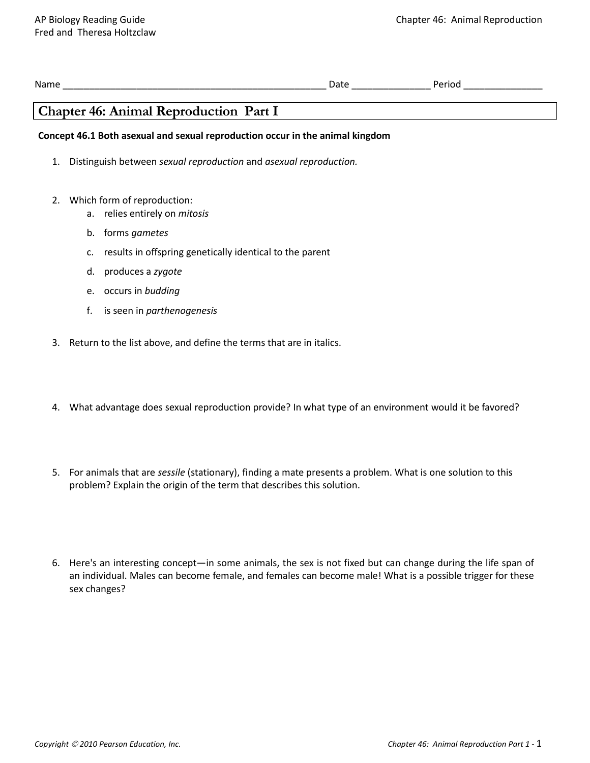| INE: |  |
|------|--|
|      |  |

# **Chapter 46: Animal Reproduction Part I**

# **Concept 46.1 Both asexual and sexual reproduction occur in the animal kingdom**

- 1. Distinguish between *sexual reproduction* and *asexual reproduction.*
- 2. Which form of reproduction:
	- a. relies entirely on *mitosis*
	- b. forms *gametes*
	- c. results in offspring genetically identical to the parent
	- d. produces a *zygote*
	- e. occurs in *budding*
	- f. is seen in *parthenogenesis*
- 3. Return to the list above, and define the terms that are in italics.
- 4. What advantage does sexual reproduction provide? In what type of an environment would it be favored?
- 5. For animals that are *sessile* (stationary), finding a mate presents a problem. What is one solution to this problem? Explain the origin of the term that describes this solution.
- 6. Here's an interesting concept—in some animals, the sex is not fixed but can change during the life span of an individual. Males can become female, and females can become male! What is a possible trigger for these sex changes?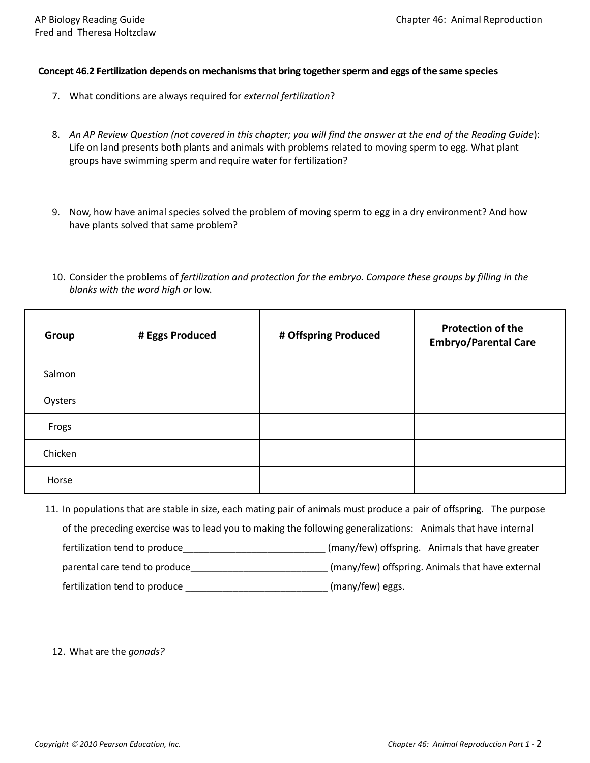#### **Concept 46.2 Fertilization depends on mechanisms that bring together sperm and eggs of the same species**

- 7. What conditions are always required for *external fertilization*?
- 8. *An AP Review Question (not covered in this chapter; you will find the answer at the end of the Reading Guide*): Life on land presents both plants and animals with problems related to moving sperm to egg. What plant groups have swimming sperm and require water for fertilization?
- 9. Now, how have animal species solved the problem of moving sperm to egg in a dry environment? And how have plants solved that same problem?
- 10. Consider the problems of *fertilization and protection for the embryo. Compare these groups by filling in the blanks with the word high or* low.

| Group   | # Eggs Produced | # Offspring Produced | <b>Protection of the</b><br><b>Embryo/Parental Care</b> |
|---------|-----------------|----------------------|---------------------------------------------------------|
| Salmon  |                 |                      |                                                         |
| Oysters |                 |                      |                                                         |
| Frogs   |                 |                      |                                                         |
| Chicken |                 |                      |                                                         |
| Horse   |                 |                      |                                                         |

11. In populations that are stable in size, each mating pair of animals must produce a pair of offspring. The purpose of the preceding exercise was to lead you to making the following generalizations: Animals that have internal fertilization tend to produce **EXEC 2008** (many/few) offspring. Animals that have greater parental care tend to produce\_\_\_\_\_\_\_\_\_\_\_\_\_\_\_\_\_\_\_\_\_\_\_\_\_\_ (many/few) offspring. Animals that have external fertilization tend to produce \_\_\_\_\_\_\_\_\_\_\_\_\_\_\_\_\_\_\_\_\_\_\_\_\_\_\_\_\_\_\_\_(many/few) eggs.

12. What are the *gonads?*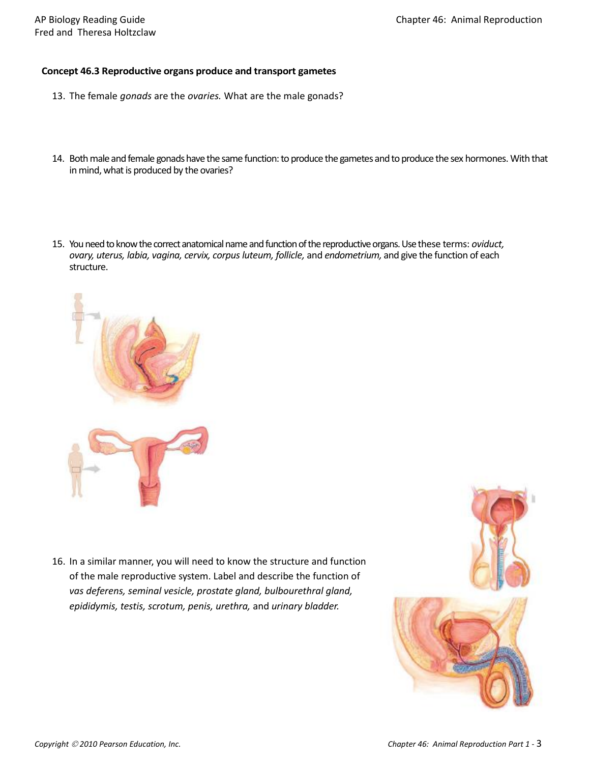## **Concept 46.3 Reproductive organs produce and transport gametes**

- 13. The female *gonads* are the *ovaries.* What are the male gonads?
- 14. Both male and female gonads have the same function: to produce the gametes and to produce the sex hormones. With that in mind, what is produced by the ovaries?
- 15. You need to know the correct anatomical name and function of the reproductive organs. Use these terms: *oviduct, ovary, uterus, labia, vagina, cervix, corpus luteum, follicle,* and *endometrium,* and give the function of each structure.



16. In a similar manner, you will need to know the structure and function of the male reproductive system. Label and describe the function of *vas deferens, seminal vesicle, prostate gland, bulbourethral gland, epididymis, testis, scrotum, penis, urethra,* and *urinary bladder.*

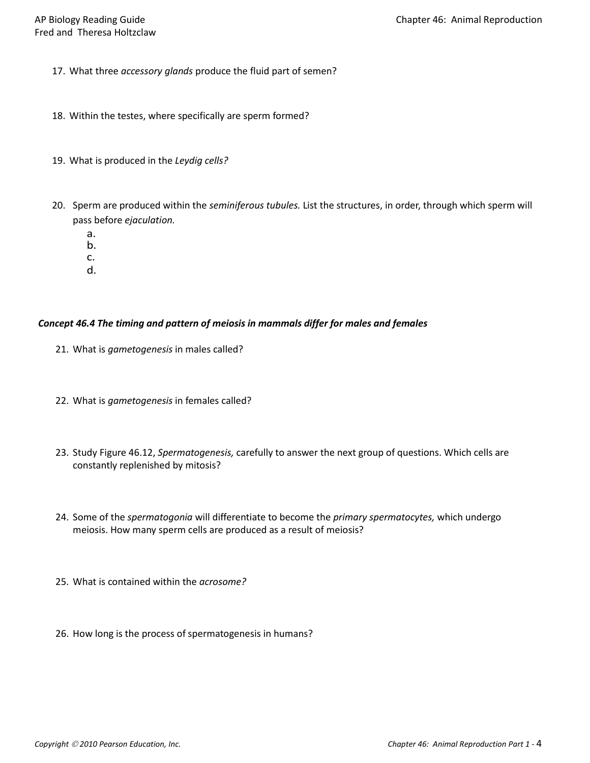- 17. What three *accessory glands* produce the fluid part of semen?
- 18. Within the testes, where specifically are sperm formed?
- 19. What is produced in the *Leydig cells?*
- 20. Sperm are produced within the *seminiferous tubules.* List the structures, in order, through which sperm will pass before *ejaculation.*
	- a.
	- b.
	- c.
	- d.

## *Concept 46.4 The timing and pattern of meiosis in mammals differ for males and females*

- 21. What is *gametogenesis* in males called?
- 22. What is *gametogenesis* in females called?
- 23. Study Figure 46.12, *Spermatogenesis,* carefully to answer the next group of questions. Which cells are constantly replenished by mitosis?
- 24. Some of the *spermatogonia* will differentiate to become the *primary spermatocytes,* which undergo meiosis. How many sperm cells are produced as a result of meiosis?
- 25. What is contained within the *acrosome?*
- 26. How long is the process of spermatogenesis in humans?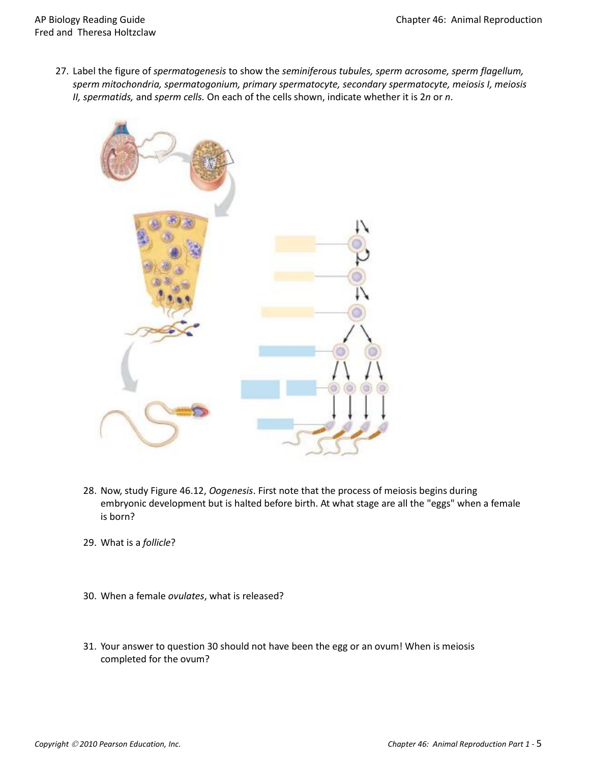27. Label the figure of *spermatogenesis* to show the *seminiferous tubules, sperm acrosome, sperm flagellum, sperm mitochondria, spermatogonium, primary spermatocyte, secondary spermatocyte, meiosis I, meiosis II, spermatids,* and *sperm cells.* On each of the cells shown, indicate whether it is 2*n* or *n*.



- 28. Now, study Figure 46.12, *Oogenesis*. First note that the process of meiosis begins during embryonic development but is halted before birth. At what stage are all the "eggs" when a female is born?
- 29. What is a *follicle*?
- 30. When a female *ovulates*, what is released?
- 31. Your answer to question 30 should not have been the egg or an ovum! When is meiosis completed for the ovum?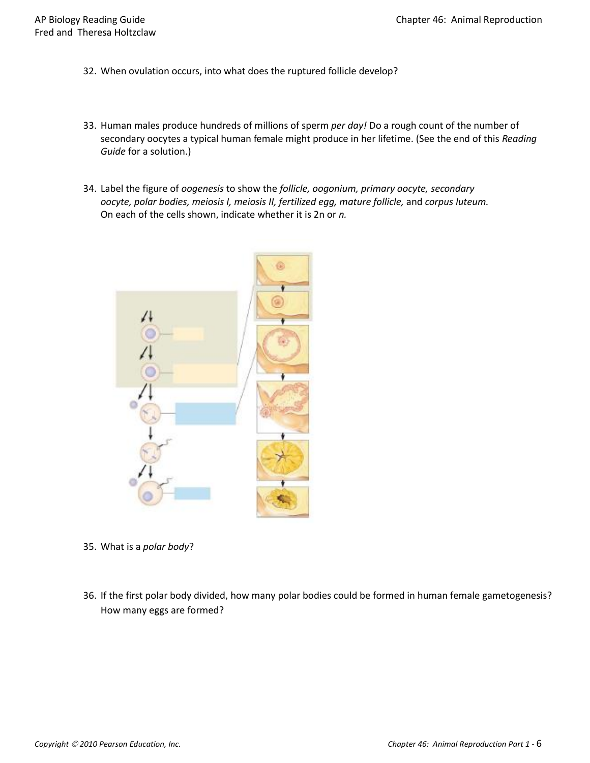- 32. When ovulation occurs, into what does the ruptured follicle develop?
- 33. Human males produce hundreds of millions of sperm *per day!* Do a rough count of the number of secondary oocytes a typical human female might produce in her lifetime. (See the end of this *Reading Guide* for a solution.)
- 34. Label the figure of *oogenesis* to show the *follicle, oogonium, primary oocyte, secondary oocyte, polar bodies, meiosis I, meiosis II, fertilized egg, mature follicle,* and *corpus luteum.*  On each of the cells shown, indicate whether it is 2n or *n.*



- 35. What is a *polar body*?
- 36. If the first polar body divided, how many polar bodies could be formed in human female gametogenesis? How many eggs are formed?